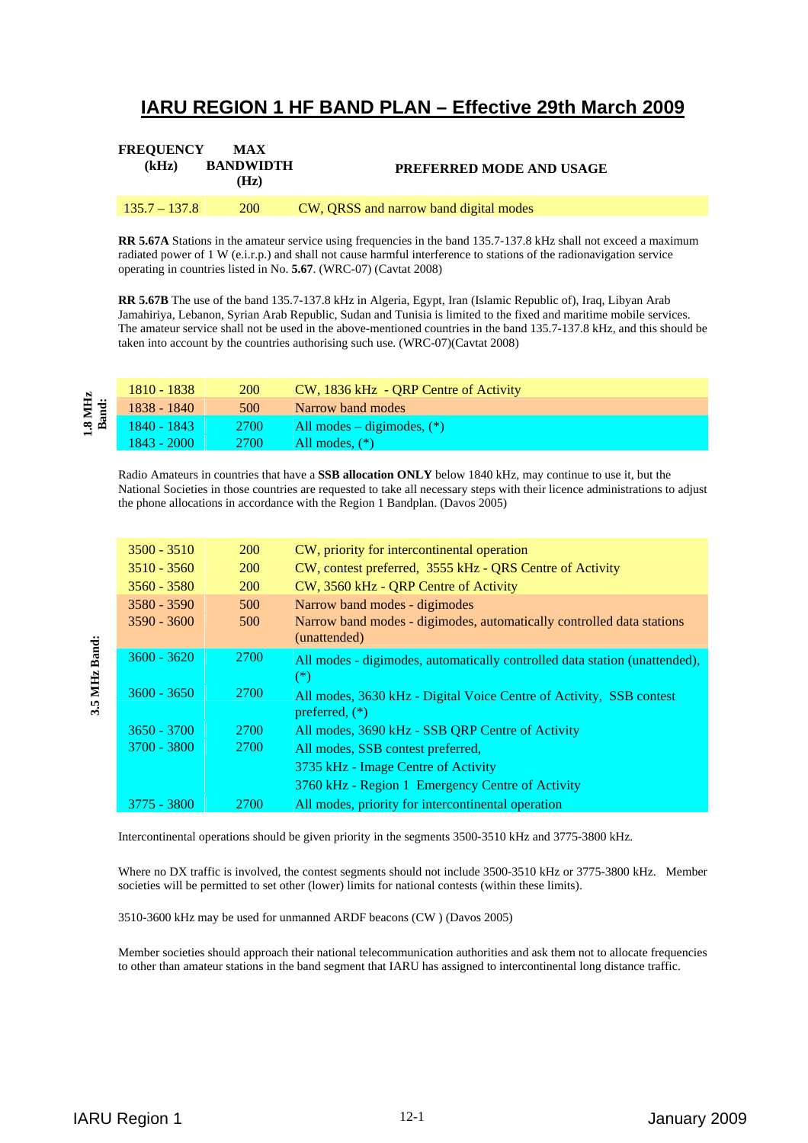## **IARU REGION 1 HF BAND PLAN – Effective 29th March 2009**

| <b>FREOUENCY</b><br>(kHz) | <b>MAX</b><br><b>BANDWIDTH</b><br>(Hz) | PREFERRED MODE AND USAGE               |
|---------------------------|----------------------------------------|----------------------------------------|
| $135.7 - 137.8$           | <b>200</b>                             | CW, QRSS and narrow band digital modes |

**RR 5.67A** Stations in the amateur service using frequencies in the band 135.7-137.8 kHz shall not exceed a maximum radiated power of 1 W (e.i.r.p.) and shall not cause harmful interference to stations of the radionavigation service operating in countries listed in No. **5.67**. (WRC-07) (Cavtat 2008)

**RR 5.67B** The use of the band 135.7-137.8 kHz in Algeria, Egypt, Iran (Islamic Republic of), Iraq, Libyan Arab Jamahiriya, Lebanon, Syrian Arab Republic, Sudan and Tunisia is limited to the fixed and maritime mobile services. The amateur service shall not be used in the above-mentioned countries in the band 135.7-137.8 kHz, and this should be taken into account by the countries authorising such use. (WRC-07)(Cavtat 2008)

|                  | 1810 - 1838   | <b>200</b>  | CW, 1836 kHz - QRP Centre of Activity |
|------------------|---------------|-------------|---------------------------------------|
| 1.8 MHz<br>Band: | $1838 - 1840$ | 500         | Narrow band modes                     |
|                  | $1840 - 1843$ | <b>2700</b> | All modes $-$ digimodes, $(*)$        |
|                  | $1843 - 2000$ | <b>2700</b> | All modes, $(*)$                      |

Radio Amateurs in countries that have a **SSB allocation ONLY** below 1840 kHz, may continue to use it, but the National Societies in those countries are requested to take all necessary steps with their licence administrations to adjust the phone allocations in accordance with the Region 1 Bandplan. (Davos 2005)

| $3500 - 3510$ | <b>200</b> | CW, priority for intercontinental operation                                             |
|---------------|------------|-----------------------------------------------------------------------------------------|
| $3510 - 3560$ | <b>200</b> | CW, contest preferred, 3555 kHz - QRS Centre of Activity                                |
| $3560 - 3580$ | <b>200</b> | CW, 3560 kHz - QRP Centre of Activity                                                   |
| $3580 - 3590$ | 500        | Narrow band modes - digimodes                                                           |
| $3590 - 3600$ | 500        | Narrow band modes - digimodes, automatically controlled data stations<br>(unattended)   |
| $3600 - 3620$ | 2700       | All modes - digimodes, automatically controlled data station (unattended),<br>$(*)$     |
| $3600 - 3650$ | 2700       | All modes, 3630 kHz - Digital Voice Centre of Activity, SSB contest<br>preferred, $(*)$ |
| $3650 - 3700$ | 2700       | All modes, 3690 kHz - SSB QRP Centre of Activity                                        |
| $3700 - 3800$ | 2700       | All modes, SSB contest preferred,                                                       |
|               |            | 3735 kHz - Image Centre of Activity                                                     |
|               |            | 3760 kHz - Region 1 Emergency Centre of Activity                                        |
| 3775 - 3800   | 2700       | All modes, priority for intercontinental operation                                      |

Intercontinental operations should be given priority in the segments 3500-3510 kHz and 3775-3800 kHz.

Where no DX traffic is involved, the contest segments should not include 3500-3510 kHz or 3775-3800 kHz. Member societies will be permitted to set other (lower) limits for national contests (within these limits).

3510-3600 kHz may be used for unmanned ARDF beacons (CW ) (Davos 2005)

Member societies should approach their national telecommunication authorities and ask them not to allocate frequencies to other than amateur stations in the band segment that IARU has assigned to intercontinental long distance traffic.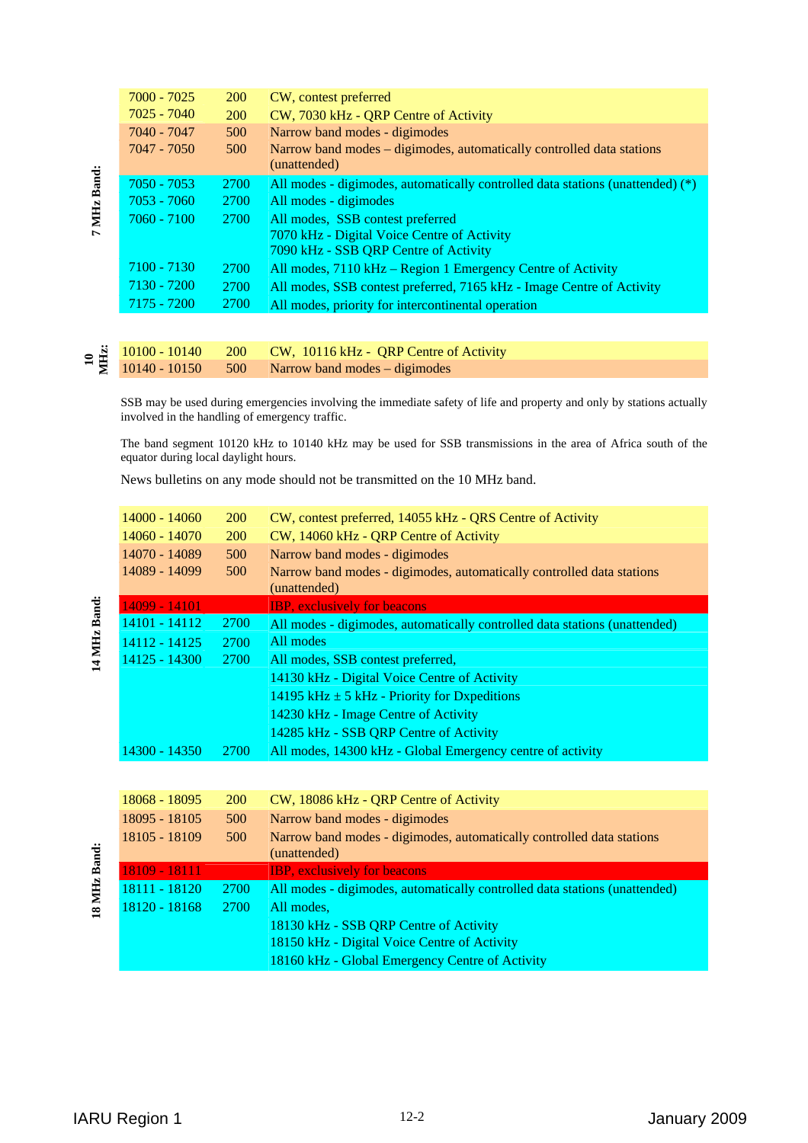|                | $7000 - 7025$ | <b>200</b>  | CW, contest preferred                                                          |
|----------------|---------------|-------------|--------------------------------------------------------------------------------|
|                | $7025 - 7040$ | <b>200</b>  | CW, 7030 kHz - QRP Centre of Activity                                          |
|                | 7040 - 7047   | 500         | Narrow band modes - digimodes                                                  |
|                | 7047 - 7050   | 500         | Narrow band modes – digimodes, automatically controlled data stations          |
|                |               |             | (unattended)                                                                   |
| MHz Band:      | $7050 - 7053$ | <b>2700</b> | All modes - digimodes, automatically controlled data stations (unattended) (*) |
|                | $7053 - 7060$ | 2700        | All modes - digimodes                                                          |
|                | $7060 - 7100$ | 2700        | All modes, SSB contest preferred                                               |
| $\overline{ }$ |               |             | 7070 kHz - Digital Voice Centre of Activity                                    |
|                |               |             | 7090 kHz - SSB QRP Centre of Activity                                          |
|                | $7100 - 7130$ | <b>2700</b> | All modes, 7110 kHz – Region 1 Emergency Centre of Activity                    |
|                | 7130 - 7200   | 2700        | All modes, SSB contest preferred, 7165 kHz - Image Centre of Activity          |
|                | $7175 - 7200$ | 2700        | All modes, priority for intercontinental operation                             |
|                |               |             |                                                                                |

|  | $\approx \frac{32}{2}$ $\frac{10100 - 10140}{10140 - 10150}$ 200 CW, 10116 kHz - QRP Centre of Activity |
|--|---------------------------------------------------------------------------------------------------------|

SSB may be used during emergencies involving the immediate safety of life and property and only by stations actually involved in the handling of emergency traffic.

The band segment 10120 kHz to 10140 kHz may be used for SSB transmissions in the area of Africa south of the equator during local daylight hours.

News bulletins on any mode should not be transmitted on the 10 MHz band.

| 14000 - 14060   | <b>200</b>            | CW, contest preferred, 14055 kHz - QRS Centre of Activity                                                                                                                                                                            |
|-----------------|-----------------------|--------------------------------------------------------------------------------------------------------------------------------------------------------------------------------------------------------------------------------------|
| 14060 - 14070   | <b>200</b>            | CW, 14060 kHz - QRP Centre of Activity                                                                                                                                                                                               |
| 14070 - 14089   | 500                   | Narrow band modes - digimodes                                                                                                                                                                                                        |
| 14089 - 14099   | 500                   | Narrow band modes - digimodes, automatically controlled data stations                                                                                                                                                                |
|                 |                       | (unattended)                                                                                                                                                                                                                         |
| 14099 - 14101   |                       | <b>IBP, exclusively for beacons</b>                                                                                                                                                                                                  |
| 14101 - 14112   | 2700                  | All modes - digimodes, automatically controlled data stations (unattended)                                                                                                                                                           |
| 14112 - 14125   | 2700                  | All modes                                                                                                                                                                                                                            |
| 14125 - 14300   | 2700                  | All modes, SSB contest preferred,                                                                                                                                                                                                    |
|                 |                       | 14130 kHz - Digital Voice Centre of Activity                                                                                                                                                                                         |
|                 |                       | 14195 kHz $\pm$ 5 kHz - Priority for Dxpeditions                                                                                                                                                                                     |
|                 |                       | 14230 kHz - Image Centre of Activity                                                                                                                                                                                                 |
|                 |                       | 14285 kHz - SSB QRP Centre of Activity                                                                                                                                                                                               |
| 14300 - 14350   | <b>2700</b>           | All modes, 14300 kHz - Global Emergency centre of activity                                                                                                                                                                           |
|                 |                       |                                                                                                                                                                                                                                      |
| 18068 - 18095   | <b>200</b>            | CW, 18086 kHz - QRP Centre of Activity                                                                                                                                                                                               |
| $10007 - 10107$ | $\overline{z}$ $\cap$ | $\mathbf{v}$ and $\mathbf{v}$ are the set of the set of the set of the set of the set of the set of the set of the set of the set of the set of the set of the set of the set of the set of the set of the set of the set of the set |

| ٦ |
|---|
|   |
|   |
|   |
|   |

**14 MHz Band:** 

14 MHz Band:

| 18068 - 18095   | <b>200</b>  | CW, 18086 kHz - QRP Centre of Activity                                     |
|-----------------|-------------|----------------------------------------------------------------------------|
| 18095 - 18105   | 500         | Narrow band modes - digimodes                                              |
| 18105 - 18109   | 500         | Narrow band modes - digimodes, automatically controlled data stations      |
|                 |             | (unattended)                                                               |
| $18109 - 18111$ |             | <b>IBP, exclusively for beacons</b>                                        |
| 18111 - 18120   | <b>2700</b> | All modes - digimodes, automatically controlled data stations (unattended) |
| 18120 - 18168   | 2700        | All modes,                                                                 |
|                 |             | 18130 kHz - SSB QRP Centre of Activity                                     |
|                 |             | 18150 kHz - Digital Voice Centre of Activity                               |
|                 |             | 18160 kHz - Global Emergency Centre of Activity                            |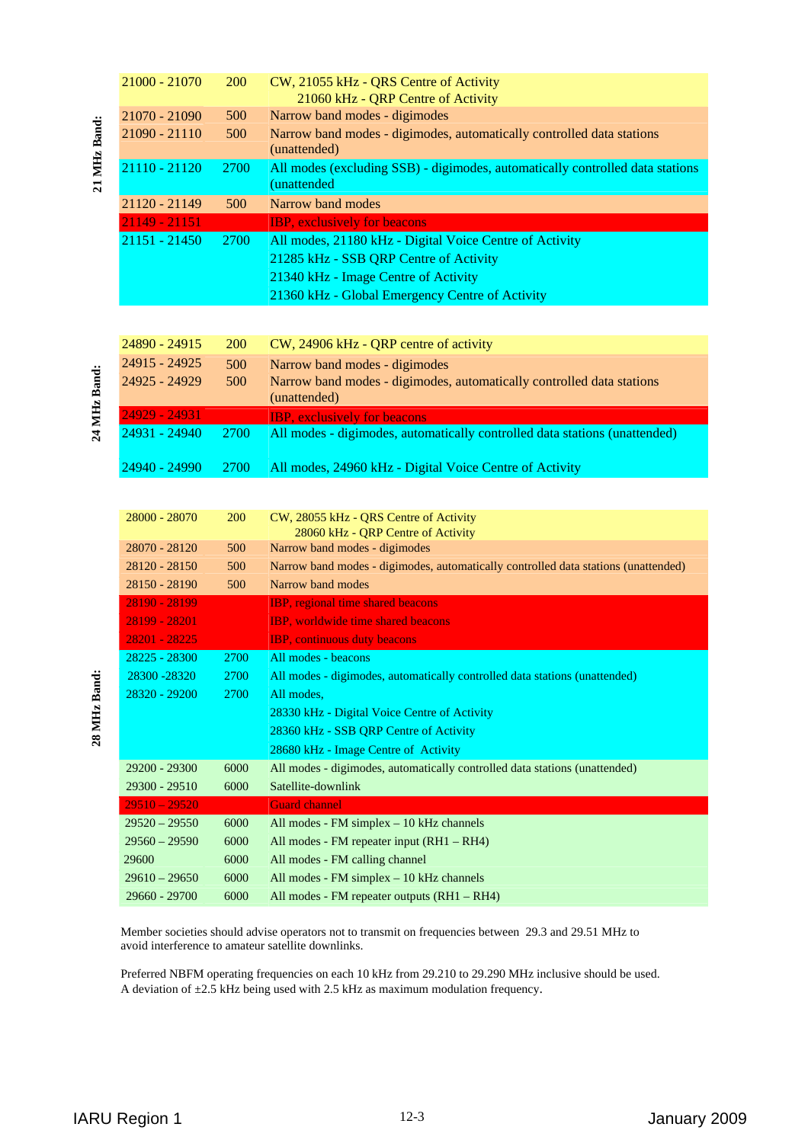| $21000 - 21070$<br>CW, 21055 kHz - QRS Centre of Activity<br><b>200</b><br>21060 kHz - QRP Centre of Activity<br>Narrow band modes - digimodes<br>$21070 - 21090$<br>500<br>Narrow band modes - digimodes, automatically controlled data stations<br>$21090 - 21110$<br>500<br>(unattended)<br>21110 - 21120<br>2700<br>(unattended<br>21120 - 21149<br>500<br>Narrow band modes<br>$21149 - 21151$<br><b>IBP, exclusively for beacons</b><br>$21151 - 21450$<br>All modes, 21180 kHz - Digital Voice Centre of Activity<br>2700<br>21285 kHz - SSB QRP Centre of Activity |  |                                                                               |
|----------------------------------------------------------------------------------------------------------------------------------------------------------------------------------------------------------------------------------------------------------------------------------------------------------------------------------------------------------------------------------------------------------------------------------------------------------------------------------------------------------------------------------------------------------------------------|--|-------------------------------------------------------------------------------|
|                                                                                                                                                                                                                                                                                                                                                                                                                                                                                                                                                                            |  |                                                                               |
|                                                                                                                                                                                                                                                                                                                                                                                                                                                                                                                                                                            |  |                                                                               |
|                                                                                                                                                                                                                                                                                                                                                                                                                                                                                                                                                                            |  |                                                                               |
|                                                                                                                                                                                                                                                                                                                                                                                                                                                                                                                                                                            |  |                                                                               |
|                                                                                                                                                                                                                                                                                                                                                                                                                                                                                                                                                                            |  | All modes (excluding SSB) - digimodes, automatically controlled data stations |
|                                                                                                                                                                                                                                                                                                                                                                                                                                                                                                                                                                            |  |                                                                               |
|                                                                                                                                                                                                                                                                                                                                                                                                                                                                                                                                                                            |  |                                                                               |
|                                                                                                                                                                                                                                                                                                                                                                                                                                                                                                                                                                            |  |                                                                               |
|                                                                                                                                                                                                                                                                                                                                                                                                                                                                                                                                                                            |  |                                                                               |
|                                                                                                                                                                                                                                                                                                                                                                                                                                                                                                                                                                            |  | 21340 kHz - Image Centre of Activity                                          |
| 21360 kHz - Global Emergency Centre of Activity                                                                                                                                                                                                                                                                                                                                                                                                                                                                                                                            |  |                                                                               |

24925 - 24929 500 Narrow band modes - digimodes, automatically controlled data stations

24931 - 24940 2700 All modes - digimodes, automatically controlled data stations (unattended)

24940 - 24990 2700 All modes, 24960 kHz - Digital Voice Centre of Activity

24890 - 24915 200 CW, 24906 kHz - QRP centre of activity

(unattended)  $29 - 24931$  **IBP**, exclusively for beacons

24915 - 24925 500 Narrow band modes - digimodes

 **24 MHz Band:**  24 MHz Band:

 **21 MHz Band:** 

21 MHz Band:

| 28000 - 28070   | <b>200</b> | CW, 28055 kHz - ORS Centre of Activity<br>28060 kHz - QRP Centre of Activity       |
|-----------------|------------|------------------------------------------------------------------------------------|
| 28070 - 28120   | 500        | Narrow band modes - digimodes                                                      |
| 28120 - 28150   | 500        | Narrow band modes - digimodes, automatically controlled data stations (unattended) |
| 28150 - 28190   | 500        | Narrow band modes                                                                  |
| 28190 - 28199   |            | <b>IBP</b> , regional time shared beacons                                          |
| 28199 - 28201   |            | <b>IBP</b> , worldwide time shared beacons                                         |
| 28201 - 28225   |            | IBP, continuous duty beacons                                                       |
| 28225 - 28300   | 2700       | All modes - beacons                                                                |
| 28300 - 28320   | 2700       | All modes - digimodes, automatically controlled data stations (unattended)         |
| 28320 - 29200   | 2700       | All modes.                                                                         |
|                 |            | 28330 kHz - Digital Voice Centre of Activity                                       |
|                 |            | 28360 kHz - SSB ORP Centre of Activity                                             |
|                 |            | 28680 kHz - Image Centre of Activity                                               |
| 29200 - 29300   | 6000       | All modes - digimodes, automatically controlled data stations (unattended)         |
| 29300 - 29510   | 6000       | Satellite-downlink                                                                 |
| $29510 - 29520$ |            | <b>Guard channel</b>                                                               |
| $29520 - 29550$ | 6000       | All modes - $FM$ simplex $-10$ kHz channels                                        |
| $29560 - 29590$ | 6000       | All modes - FM repeater input (RH1 – RH4)                                          |
| 29600           | 6000       | All modes - FM calling channel                                                     |
| $29610 - 29650$ | 6000       | All modes - $FM$ simplex $-10$ kHz channels                                        |
| 29660 - 29700   | 6000       | All modes - FM repeater outputs $(RH1 - RH4)$                                      |

 Member societies should advise operators not to transmit on frequencies between 29.3 and 29.51 MHz to avoid interference to amateur satellite downlinks.

 Preferred NBFM operating frequencies on each 10 kHz from 29.210 to 29.290 MHz inclusive should be used. A deviation of  $\pm 2.5$  kHz being used with 2.5 kHz as maximum modulation frequency.